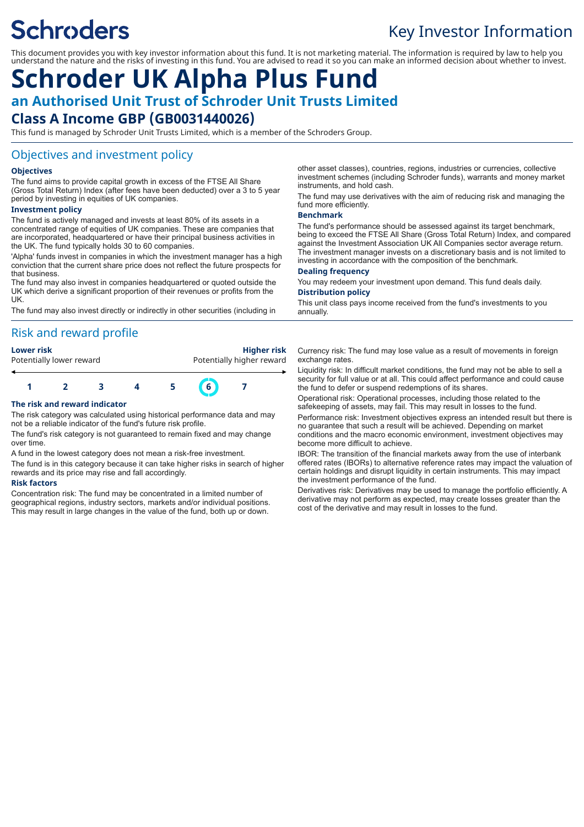# **Schroders**

# Key Investor Information

This document provides you with key investor information about this fund. It is not marketing material. The information is required by law to help you understand the nature and the risks of investing in this fund. You are advised to read it so you can make an informed decision about whether to invest.

# **Schroder UK Alpha Plus Fund an Authorised Unit Trust of Schroder Unit Trusts Limited Class A Income GBP (GB0031440026)**

This fund is managed by Schroder Unit Trusts Limited, which is a member of the Schroders Group.

### Objectives and investment policy

#### **Objectives**

The fund aims to provide capital growth in excess of the FTSE All Share (Gross Total Return) Index (after fees have been deducted) over a 3 to 5 year period by investing in equities of UK companies.

#### **Investment policy**

The fund is actively managed and invests at least 80% of its assets in a concentrated range of equities of UK companies. These are companies that are incorporated, headquartered or have their principal business activities in the UK. The fund typically holds 30 to 60 companies.

'Alpha' funds invest in companies in which the investment manager has a high conviction that the current share price does not reflect the future prospects for that business.

The fund may also invest in companies headquartered or quoted outside the UK which derive a significant proportion of their revenues or profits from the UK.

The fund may also invest directly or indirectly in other securities (including in

# Risk and reward profile

| Lower risk               | Higher risk               |
|--------------------------|---------------------------|
| Potentially lower reward | Potentially higher reward |
|                          |                           |



#### **The risk and reward indicator**

The risk category was calculated using historical performance data and may not be a reliable indicator of the fund's future risk profile.

The fund's risk category is not guaranteed to remain fixed and may change over time.

A fund in the lowest category does not mean a risk-free investment.

The fund is in this category because it can take higher risks in search of higher rewards and its price may rise and fall accordingly.

#### **Risk factors**

Concentration risk: The fund may be concentrated in a limited number of geographical regions, industry sectors, markets and/or individual positions. This may result in large changes in the value of the fund, both up or down.

other asset classes), countries, regions, industries or currencies, collective investment schemes (including Schroder funds), warrants and money market instruments, and hold cash.

The fund may use derivatives with the aim of reducing risk and managing the fund more efficiently.

#### **Benchmark**

The fund's performance should be assessed against its target benchmark, being to exceed the FTSE All Share (Gross Total Return) Index, and compared against the Investment Association UK All Companies sector average return. The investment manager invests on a discretionary basis and is not limited to investing in accordance with the composition of the benchmark.

#### **Dealing frequency**

You may redeem your investment upon demand. This fund deals daily. **Distribution policy**

This unit class pays income received from the fund's investments to you annually.

Currency risk: The fund may lose value as a result of movements in foreign exchange rates.

Liquidity risk: In difficult market conditions, the fund may not be able to sell a security for full value or at all. This could affect performance and could cause the fund to defer or suspend redemptions of its shares.

Operational risk: Operational processes, including those related to the safekeeping of assets, may fail. This may result in losses to the fund.

Performance risk: Investment objectives express an intended result but there is no guarantee that such a result will be achieved. Depending on market conditions and the macro economic environment, investment objectives may become more difficult to achieve.

IBOR: The transition of the financial markets away from the use of interbank offered rates (IBORs) to alternative reference rates may impact the valuation of certain holdings and disrupt liquidity in certain instruments. This may impact the investment performance of the fund.

Derivatives risk: Derivatives may be used to manage the portfolio efficiently. A derivative may not perform as expected, may create losses greater than the cost of the derivative and may result in losses to the fund.